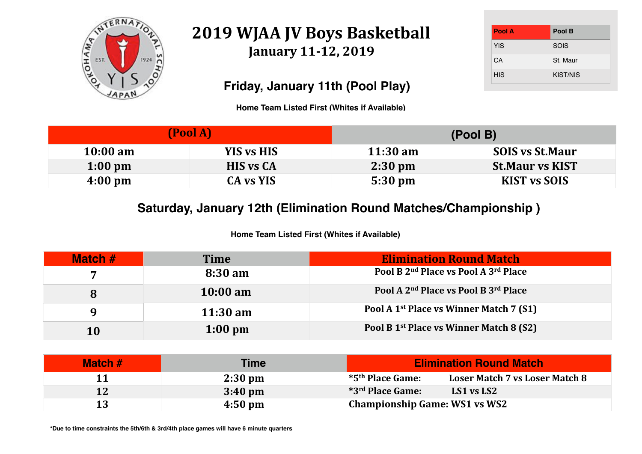

## **2019 WJAA JV Boys Basketball** January 11-12, 2019

| Pool A     | Pool B          |
|------------|-----------------|
| <b>YIS</b> | <b>SOIS</b>     |
| CA         | St. Maur        |
| <b>HIS</b> | <b>KIST/NIS</b> |

# **10:00 SOIS** vs St.Maur **1:00 St.Maur vs KIST**  $KIST$  vs SOIS

### **a Match**

| <b>Match #</b> | <b>Time</b>        | <b>Elimination Round Match</b>                               |
|----------------|--------------------|--------------------------------------------------------------|
| 7              | 8:30 am            | Pool B 2 <sup>nd</sup> Place vs Pool A 3 <sup>rd</sup> Place |
| 8              | $10:00 \text{ am}$ | Pool A 2 <sup>nd</sup> Place vs Pool B 3 <sup>rd</sup> Place |
| $\mathbf Q$    | $11:30 \text{ am}$ | Pool A 1 <sup>st</sup> Place vs Winner Match 7 (S1)          |
| 10             | $1:00 \text{ pm}$  | Pool B 1 <sup>st</sup> Place vs Winner Match 8 (S2)          |

|                    | (Pool A)          |                    | (Pool B) |
|--------------------|-------------------|--------------------|----------|
| $10:00 \text{ am}$ | <b>YIS vs HIS</b> | $11:30 \text{ am}$ |          |
| $1:00 \text{ pm}$  | <b>HIS vs CA</b>  | $2:30 \text{ pm}$  |          |
| $4:00 \text{ pm}$  | <b>CA vs YIS</b>  | 5:30 pm            |          |

**11 2:30 pm \*5th Place Game: Loser Match 7 vs Loser Match 8**

| Match # | Time              | <b>Elimination Round</b>                               |
|---------|-------------------|--------------------------------------------------------|
|         | $2:30 \text{ pm}$ | $*$ 5 <sup>th</sup> Place Game:<br><b>Loser Match'</b> |
| 12      | $3:40 \text{ pm}$ | *3rd Place Game:<br>LS1 vs LS2                         |
| 13      | $4:50 \text{ pm}$ | <b>Championship Game: WS1 vs WS2</b>                   |

## **Friday, January 11th (Pool Play)**

## **Saturday, January 12th (Elimination Round Matches/Championship )**

**Home Team Listed First (Whites if Available)**

**Home Team Listed First (Whites if Available)**

**\*Due to time constraints the 5th/6th & 3rd/4th place games will have 6 minute quarters**